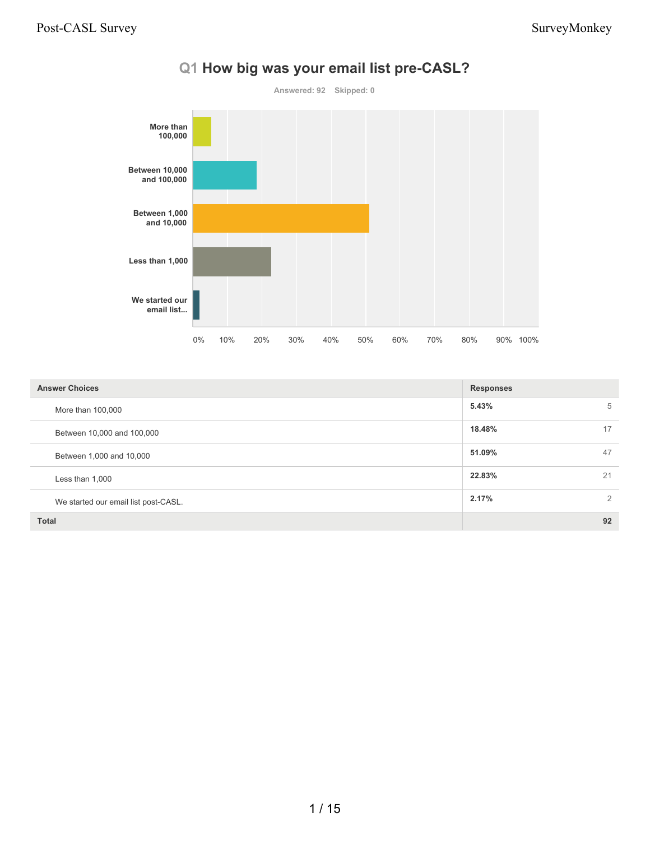

#### **Q1 How big was your email list pre-CASL?**

| <b>Answer Choices</b>                | <b>Responses</b>        |
|--------------------------------------|-------------------------|
| More than 100,000                    | 5.43%<br>5              |
| Between 10,000 and 100,000           | 18.48%<br>17            |
| Between 1,000 and 10,000             | 51.09%<br>47            |
| Less than 1,000                      | 22.83%<br>21            |
| We started our email list post-CASL. | 2.17%<br>$\overline{2}$ |
| <b>Total</b>                         | 92                      |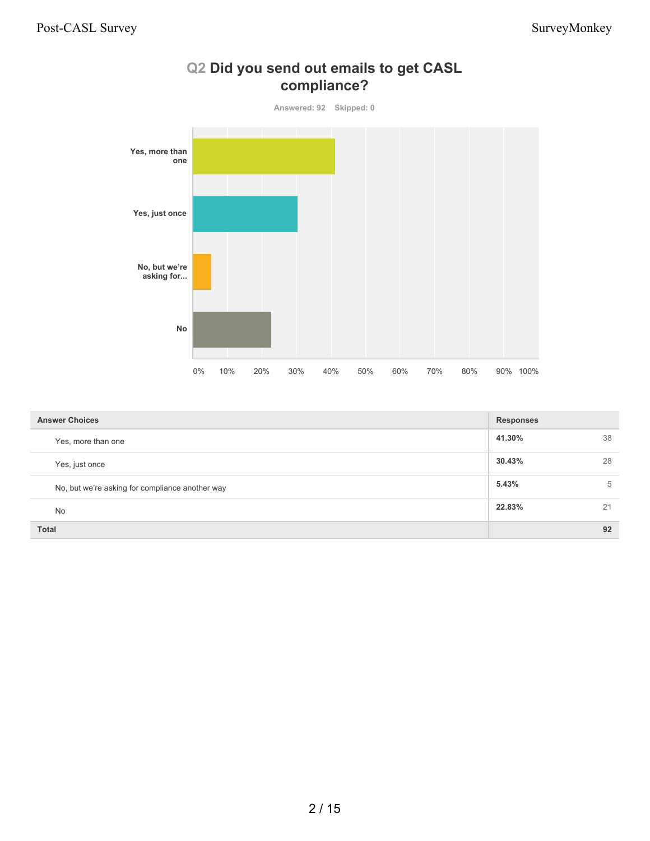

#### **Q2 Did you send out emails to get CASL compliance?**

| <b>Answer Choices</b>                           | <b>Responses</b> |    |
|-------------------------------------------------|------------------|----|
| Yes, more than one                              | 41.30%           | 38 |
| Yes, just once                                  | 30.43%           | 28 |
| No, but we're asking for compliance another way | 5.43%            | 5  |
| <b>No</b>                                       | 22.83%           | 21 |
| <b>Total</b>                                    |                  | 92 |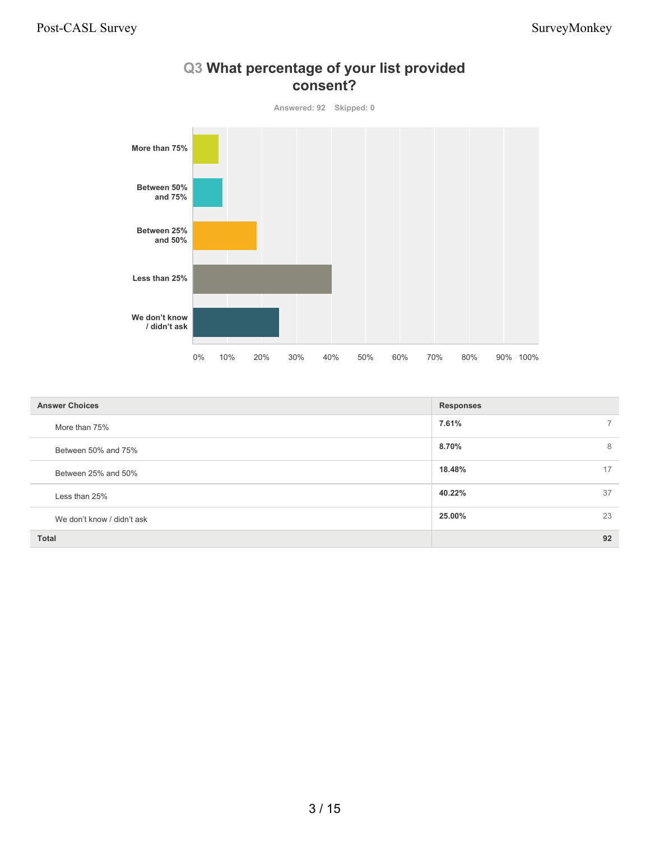

#### **Q3 What percentage of your list provided consent?**

| <b>Answer Choices</b>      | <b>Responses</b> |
|----------------------------|------------------|
| More than 75%              | 7.61%            |
| Between 50% and 75%        | 8.70%<br>8       |
| Between 25% and 50%        | 18.48%<br>17     |
| Less than 25%              | 40.22%<br>37     |
| We don't know / didn't ask | 23<br>25.00%     |
| <b>Total</b>               | 92               |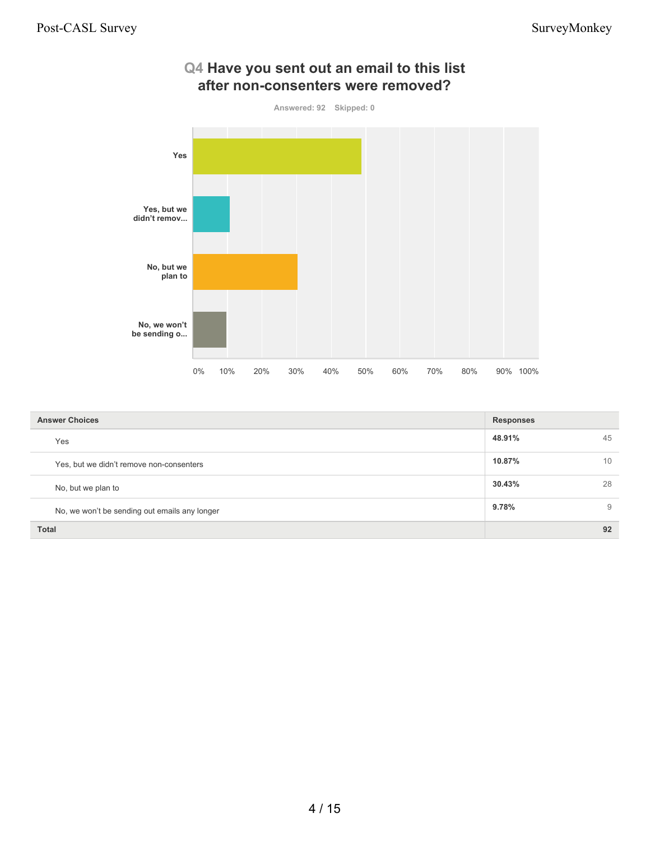

| <b>Answer Choices</b>                         | <b>Responses</b> |    |
|-----------------------------------------------|------------------|----|
| Yes                                           | 48.91%           | 45 |
| Yes, but we didn't remove non-consenters      | 10.87%           | 10 |
| No, but we plan to                            | 30.43%           | 28 |
| No, we won't be sending out emails any longer | $9.78\%$         | 9  |
| <b>Total</b>                                  |                  | 92 |

# **Q4 Have you sent out an email to this list**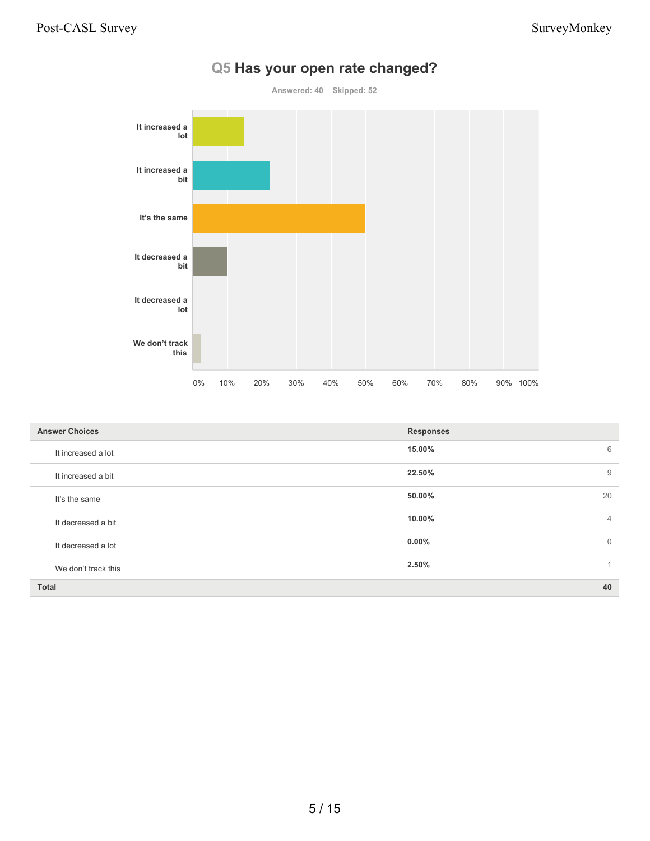

#### **Q5 Has your open rate changed?**

| <b>Answer Choices</b> | <b>Responses</b>           |
|-----------------------|----------------------------|
| It increased a lot    | 15.00%<br>6                |
| It increased a bit    | 22.50%<br>9                |
| It's the same         | 20<br>50.00%               |
| It decreased a bit    | 10.00%<br>$\overline{4}$   |
| It decreased a lot    | $0.00\%$<br>$\overline{0}$ |
| We don't track this   | 2.50%<br>1                 |
| <b>Total</b>          | 40                         |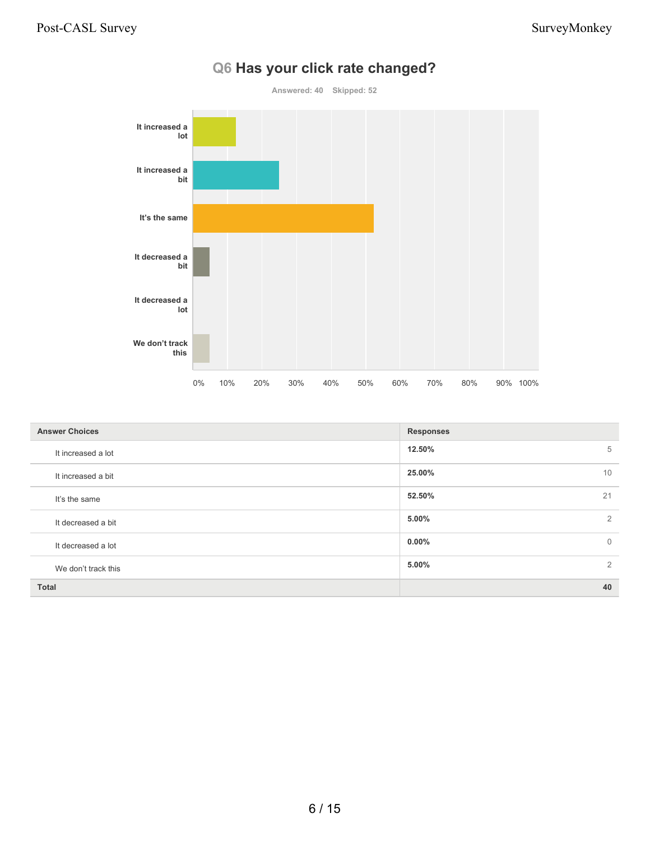

#### **Q6 Has your click rate changed?**

| <b>Answer Choices</b> | <b>Responses</b>           |
|-----------------------|----------------------------|
| It increased a lot    | 12.50%<br>5                |
| It increased a bit    | 25.00%<br>10               |
| It's the same         | 52.50%<br>21               |
| It decreased a bit    | 2<br>5.00%                 |
| It decreased a lot    | $0.00\%$<br>$\overline{0}$ |
| We don't track this   | 5.00%<br>$\overline{2}$    |
| <b>Total</b>          | 40                         |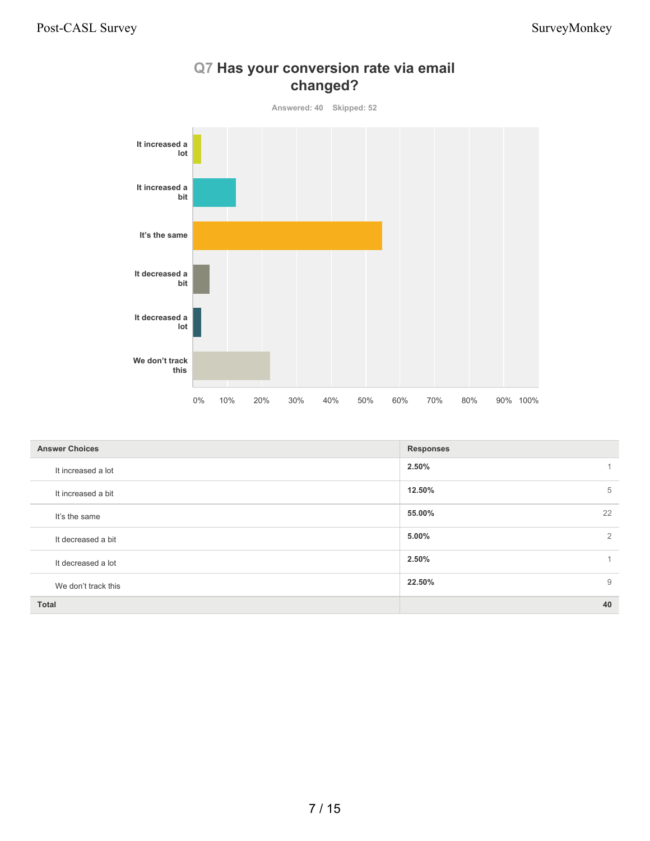

### **Q7 Has your conversion rate via email changed?**

| <b>Answer Choices</b> | <b>Responses</b> |
|-----------------------|------------------|
| It increased a lot    | 2.50%            |
| It increased a bit    | 12.50%<br>5      |
| It's the same         | 22<br>55.00%     |
| It decreased a bit    | 2<br>5.00%       |
| It decreased a lot    | 2.50%            |
| We don't track this   | 9<br>22.50%      |
| <b>Total</b>          | 40               |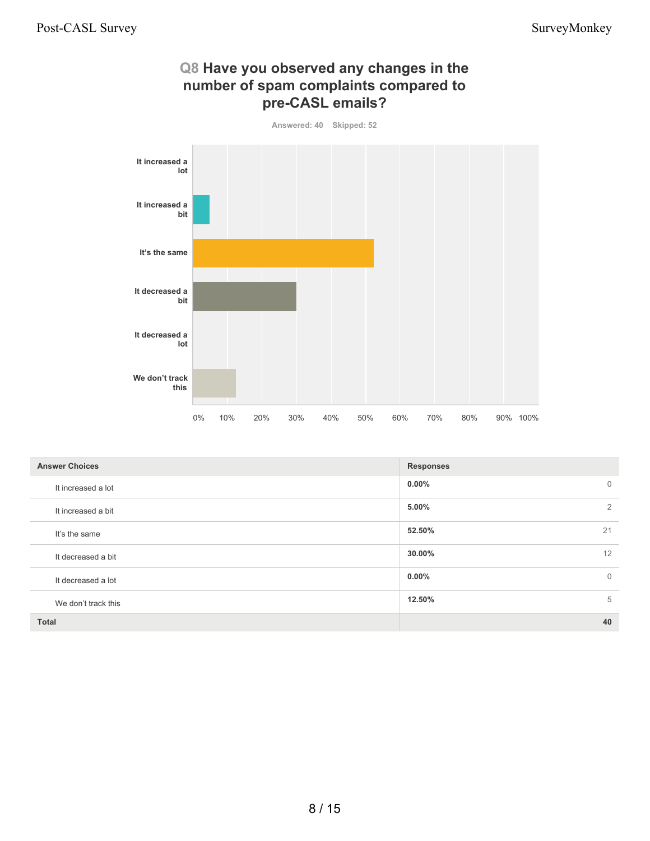**12.50%** 5



**Q8 Have you observed any changes in the**

|                       | $0\%$ | 10% | 20% | $30\%$ | 40% | 50% | 60% | 70%              | 80% | 90% | 100% |                |
|-----------------------|-------|-----|-----|--------|-----|-----|-----|------------------|-----|-----|------|----------------|
|                       |       |     |     |        |     |     |     |                  |     |     |      |                |
| <b>Answer Choices</b> |       |     |     |        |     |     |     | <b>Responses</b> |     |     |      |                |
| It increased a lot    |       |     |     |        |     |     |     | 0.00%            |     |     |      | $\mathbb O$    |
| It increased a bit    |       |     |     |        |     |     |     | 5.00%            |     |     |      | $\overline{2}$ |
| It's the same         |       |     |     |        |     |     |     | 52.50%           |     |     |      | 21             |
| It decreased a bit    |       |     |     |        |     |     |     | 30.00%           |     |     |      | 12             |
| It decreased a lot    |       |     |     |        |     |     |     | 0.00%            |     |     |      | $\mathbb O$    |

#### We don't track this

**Total 40**

8 / 15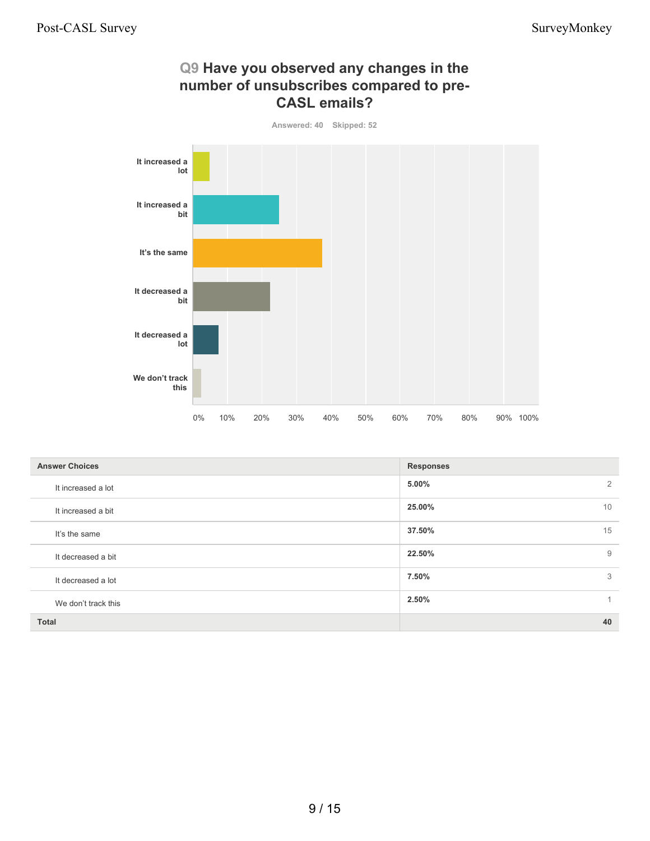

| <b>Answer Choices</b> | <b>Responses</b> |
|-----------------------|------------------|
| It increased a lot    | 5.00%<br>2       |
| It increased a bit    | 25.00%<br>10     |
| It's the same         | 15<br>37.50%     |
| It decreased a bit    | 22.50%<br>9      |
| It decreased a lot    | 7.50%<br>3       |
| We don't track this   | 2.50%<br>$\sim$  |
| <b>Total</b>          | 40               |

# **Q9 Have you observed any changes in the number of unsubscribes compared to pre-**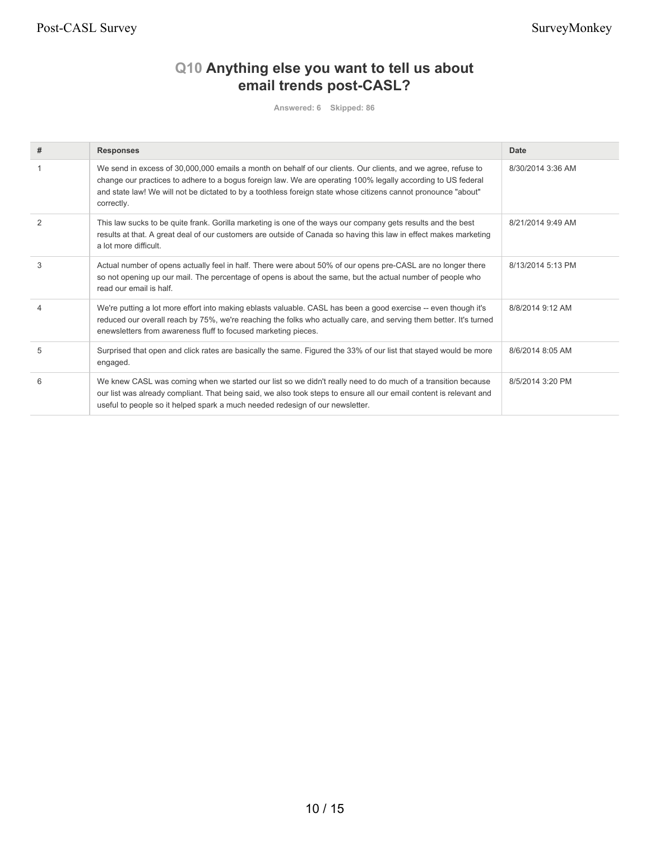Post-CASL Survey Survey Survey Survey Survey Survey Survey Survey Survey Survey Survey Survey Survey Survey Survey Survey Survey Survey Survey Survey Survey Survey Survey Survey Survey Survey Survey Survey Survey Survey Su

### **Q10 Anything else you want to tell us about email trends post-CASL?**

**Answered: 6 Skipped: 86**

| #              | <b>Responses</b>                                                                                                                                                                                                                                                                                                                                              | Date              |
|----------------|---------------------------------------------------------------------------------------------------------------------------------------------------------------------------------------------------------------------------------------------------------------------------------------------------------------------------------------------------------------|-------------------|
|                | We send in excess of 30,000,000 emails a month on behalf of our clients. Our clients, and we agree, refuse to<br>change our practices to adhere to a bogus foreign law. We are operating 100% legally according to US federal<br>and state law! We will not be dictated to by a toothless foreign state whose citizens cannot pronounce "about"<br>correctly. | 8/30/2014 3:36 AM |
| $\overline{2}$ | This law sucks to be quite frank. Gorilla marketing is one of the ways our company gets results and the best<br>results at that. A great deal of our customers are outside of Canada so having this law in effect makes marketing<br>a lot more difficult.                                                                                                    | 8/21/2014 9:49 AM |
| 3              | Actual number of opens actually feel in half. There were about 50% of our opens pre-CASL are no longer there<br>so not opening up our mail. The percentage of opens is about the same, but the actual number of people who<br>read our email is half.                                                                                                         | 8/13/2014 5:13 PM |
|                | We're putting a lot more effort into making eblasts valuable. CASL has been a good exercise -- even though it's<br>reduced our overall reach by 75%, we're reaching the folks who actually care, and serving them better. It's turned<br>enewsletters from awareness fluff to focused marketing pieces.                                                       | 8/8/2014 9:12 AM  |
| 5              | Surprised that open and click rates are basically the same. Figured the 33% of our list that stayed would be more<br>engaged.                                                                                                                                                                                                                                 | 8/6/2014 8:05 AM  |
| 6              | We knew CASL was coming when we started our list so we didn't really need to do much of a transition because<br>our list was already compliant. That being said, we also took steps to ensure all our email content is relevant and<br>useful to people so it helped spark a much needed redesign of our newsletter.                                          | 8/5/2014 3:20 PM  |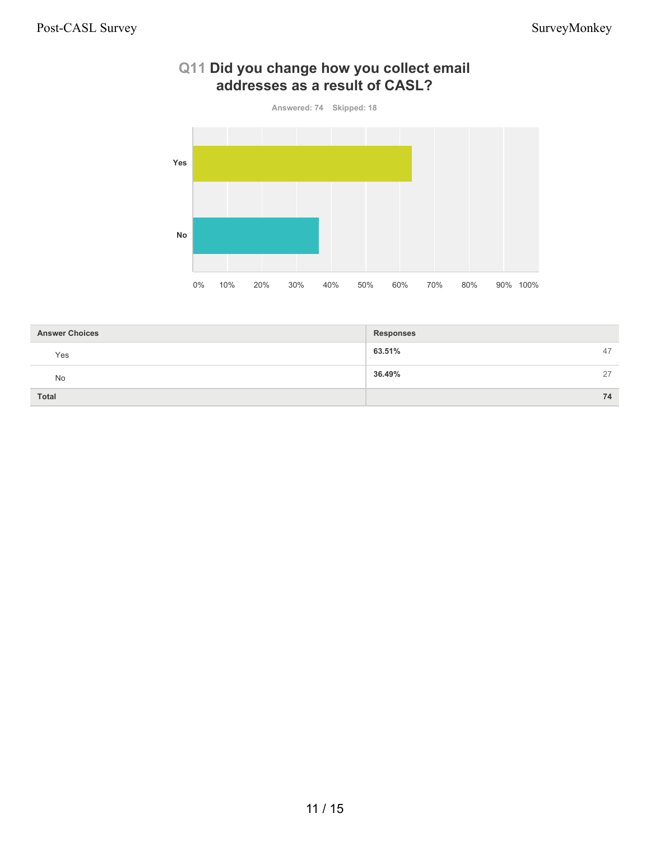

#### **Q11 Did you change how you collect email addresses as a result of CASL?**

| <b>Answer Choices</b> | <b>Responses</b> |    |
|-----------------------|------------------|----|
| Yes                   | 63.51%           | 47 |
| No                    | 36.49%           | 27 |
| <b>Total</b>          |                  | 74 |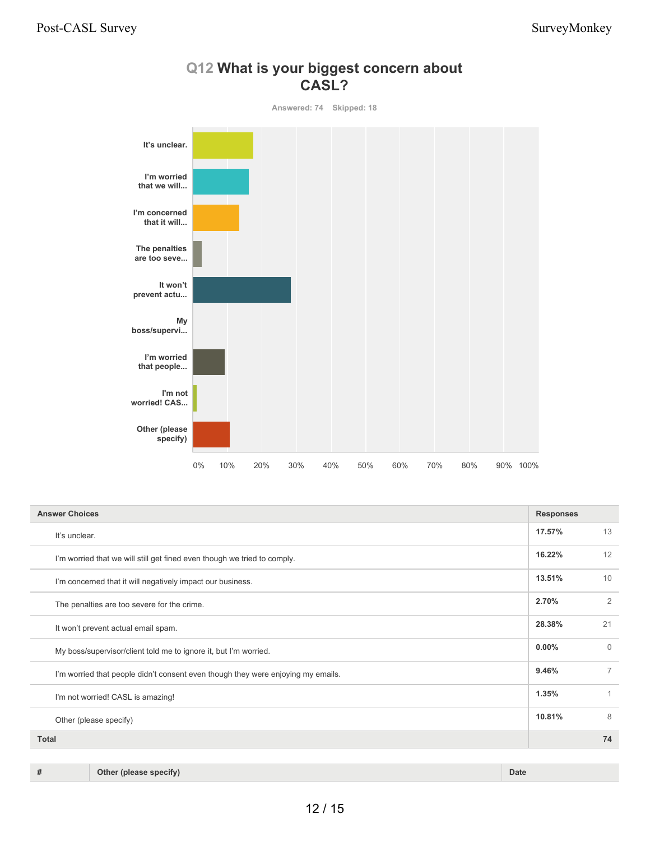

#### **Q12 What is your biggest concern about CASL?**

| <b>Answer Choices</b>                                                            | <b>Responses</b> |          |
|----------------------------------------------------------------------------------|------------------|----------|
| It's unclear.                                                                    | 17.57%           | 13       |
| I'm worried that we will still get fined even though we tried to comply.         | 16.22%           | 12       |
| I'm concerned that it will negatively impact our business.                       | 13.51%           | 10       |
| The penalties are too severe for the crime.                                      | 2.70%            | 2        |
| It won't prevent actual email spam.                                              | 28.38%           | 21       |
| My boss/supervisor/client told me to ignore it, but I'm worried.                 | 0.00%            | $\Omega$ |
| I'm worried that people didn't consent even though they were enjoying my emails. | 9.46%            | 7        |
| I'm not worried! CASL is amazing!                                                | 1.35%            |          |
| Other (please specify)                                                           | 10.81%           | 8        |
| <b>Total</b>                                                                     |                  | 74       |

#### **# Other (please specify) Date**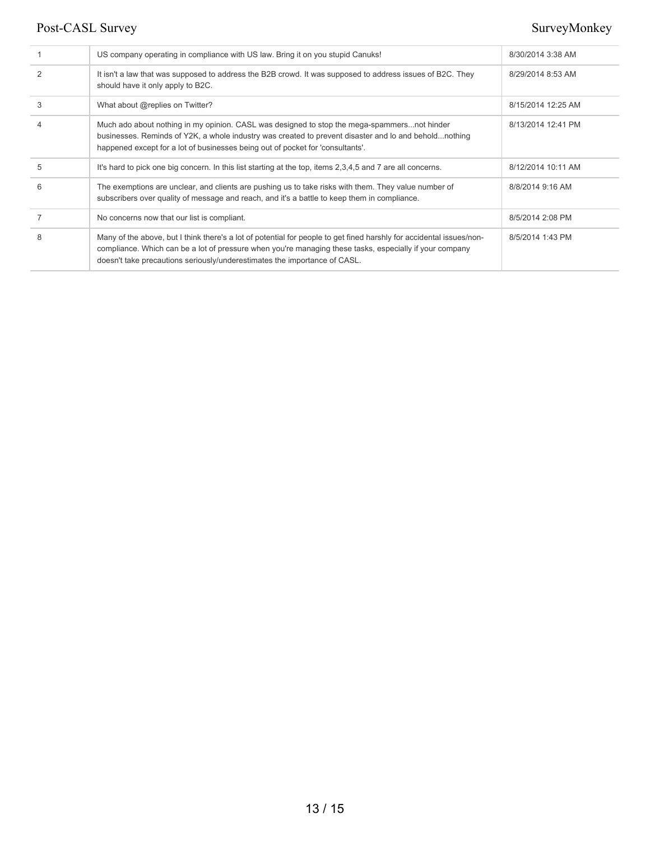#### Post-CASL Survey Survey Survey Survey Survey Survey Survey Survey Survey Survey Survey Survey Survey Survey Nonkey

|   | US company operating in compliance with US law. Bring it on you stupid Canuks!                                                                                                                                                                                                                               | 8/30/2014 3:38 AM  |
|---|--------------------------------------------------------------------------------------------------------------------------------------------------------------------------------------------------------------------------------------------------------------------------------------------------------------|--------------------|
|   | It isn't a law that was supposed to address the B2B crowd. It was supposed to address issues of B2C. They<br>should have it only apply to B2C.                                                                                                                                                               | 8/29/2014 8:53 AM  |
| 3 | What about @replies on Twitter?                                                                                                                                                                                                                                                                              | 8/15/2014 12:25 AM |
| 4 | Much ado about nothing in my opinion. CASL was designed to stop the mega-spammersnot hinder<br>businesses. Reminds of Y2K, a whole industry was created to prevent disaster and lo and beholdnothing<br>happened except for a lot of businesses being out of pocket for 'consultants'.                       | 8/13/2014 12:41 PM |
| 5 | It's hard to pick one big concern. In this list starting at the top, items 2,3,4,5 and 7 are all concerns.                                                                                                                                                                                                   | 8/12/2014 10:11 AM |
| 6 | The exemptions are unclear, and clients are pushing us to take risks with them. They value number of<br>subscribers over quality of message and reach, and it's a battle to keep them in compliance.                                                                                                         | 8/8/2014 9:16 AM   |
|   | No concerns now that our list is compliant.                                                                                                                                                                                                                                                                  | 8/5/2014 2:08 PM   |
| 8 | Many of the above, but I think there's a lot of potential for people to get fined harshly for accidental issues/non-<br>compliance. Which can be a lot of pressure when you're managing these tasks, especially if your company<br>doesn't take precautions seriously/underestimates the importance of CASL. | 8/5/2014 1:43 PM   |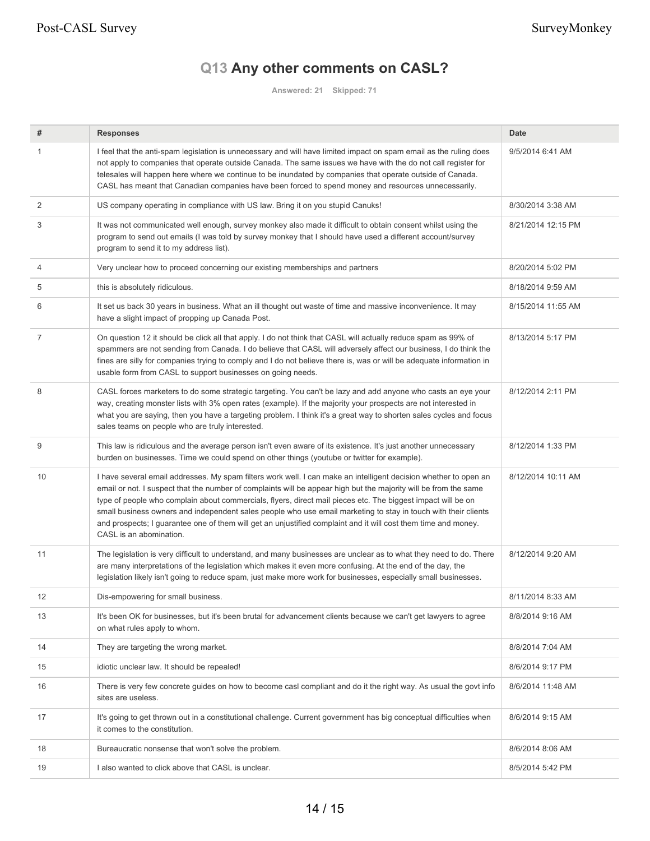## **Q13 Any other comments on CASL?**

**Answered: 21 Skipped: 71**

| #  | <b>Responses</b>                                                                                                                                                                                                                                                                                                                                                                                                                                                                                                                                                                                                    | <b>Date</b>        |
|----|---------------------------------------------------------------------------------------------------------------------------------------------------------------------------------------------------------------------------------------------------------------------------------------------------------------------------------------------------------------------------------------------------------------------------------------------------------------------------------------------------------------------------------------------------------------------------------------------------------------------|--------------------|
| 1  | I feel that the anti-spam legislation is unnecessary and will have limited impact on spam email as the ruling does<br>not apply to companies that operate outside Canada. The same issues we have with the do not call register for<br>telesales will happen here where we continue to be inundated by companies that operate outside of Canada.<br>CASL has meant that Canadian companies have been forced to spend money and resources unnecessarily.                                                                                                                                                             | 9/5/2014 6:41 AM   |
| 2  | US company operating in compliance with US law. Bring it on you stupid Canuks!                                                                                                                                                                                                                                                                                                                                                                                                                                                                                                                                      | 8/30/2014 3:38 AM  |
| 3  | It was not communicated well enough, survey monkey also made it difficult to obtain consent whilst using the<br>program to send out emails (I was told by survey monkey that I should have used a different account/survey<br>program to send it to my address list).                                                                                                                                                                                                                                                                                                                                               | 8/21/2014 12:15 PM |
| 4  | Very unclear how to proceed concerning our existing memberships and partners                                                                                                                                                                                                                                                                                                                                                                                                                                                                                                                                        | 8/20/2014 5:02 PM  |
| 5  | this is absolutely ridiculous.                                                                                                                                                                                                                                                                                                                                                                                                                                                                                                                                                                                      | 8/18/2014 9:59 AM  |
| 6  | It set us back 30 years in business. What an ill thought out waste of time and massive inconvenience. It may<br>have a slight impact of propping up Canada Post.                                                                                                                                                                                                                                                                                                                                                                                                                                                    | 8/15/2014 11:55 AM |
| 7  | On question 12 it should be click all that apply. I do not think that CASL will actually reduce spam as 99% of<br>spammers are not sending from Canada. I do believe that CASL will adversely affect our business, I do think the<br>fines are silly for companies trying to comply and I do not believe there is, was or will be adequate information in<br>usable form from CASL to support businesses on going needs.                                                                                                                                                                                            | 8/13/2014 5:17 PM  |
| 8  | CASL forces marketers to do some strategic targeting. You can't be lazy and add anyone who casts an eye your<br>way, creating monster lists with 3% open rates (example). If the majority your prospects are not interested in<br>what you are saying, then you have a targeting problem. I think it's a great way to shorten sales cycles and focus<br>sales teams on people who are truly interested.                                                                                                                                                                                                             | 8/12/2014 2:11 PM  |
| 9  | This law is ridiculous and the average person isn't even aware of its existence. It's just another unnecessary<br>burden on businesses. Time we could spend on other things (youtube or twitter for example).                                                                                                                                                                                                                                                                                                                                                                                                       | 8/12/2014 1:33 PM  |
| 10 | I have several email addresses. My spam filters work well. I can make an intelligent decision whether to open an<br>email or not. I suspect that the number of complaints will be appear high but the majority will be from the same<br>type of people who complain about commercials, flyers, direct mail pieces etc. The biggest impact will be on<br>small business owners and independent sales people who use email marketing to stay in touch with their clients<br>and prospects; I guarantee one of them will get an unjustified complaint and it will cost them time and money.<br>CASL is an abomination. | 8/12/2014 10:11 AM |
| 11 | The legislation is very difficult to understand, and many businesses are unclear as to what they need to do. There<br>are many interpretations of the legislation which makes it even more confusing. At the end of the day, the<br>legislation likely isn't going to reduce spam, just make more work for businesses, especially small businesses.                                                                                                                                                                                                                                                                 | 8/12/2014 9:20 AM  |
| 12 | Dis-empowering for small business.                                                                                                                                                                                                                                                                                                                                                                                                                                                                                                                                                                                  | 8/11/2014 8:33 AM  |
| 13 | It's been OK for businesses, but it's been brutal for advancement clients because we can't get lawyers to agree<br>on what rules apply to whom.                                                                                                                                                                                                                                                                                                                                                                                                                                                                     | 8/8/2014 9:16 AM   |
| 14 | They are targeting the wrong market.                                                                                                                                                                                                                                                                                                                                                                                                                                                                                                                                                                                | 8/8/2014 7:04 AM   |
| 15 | idiotic unclear law. It should be repealed!                                                                                                                                                                                                                                                                                                                                                                                                                                                                                                                                                                         | 8/6/2014 9:17 PM   |
| 16 | There is very few concrete guides on how to become casl compliant and do it the right way. As usual the govt info<br>sites are useless.                                                                                                                                                                                                                                                                                                                                                                                                                                                                             | 8/6/2014 11:48 AM  |
| 17 | It's going to get thrown out in a constitutional challenge. Current government has big conceptual difficulties when<br>it comes to the constitution.                                                                                                                                                                                                                                                                                                                                                                                                                                                                | 8/6/2014 9:15 AM   |
| 18 | Bureaucratic nonsense that won't solve the problem.                                                                                                                                                                                                                                                                                                                                                                                                                                                                                                                                                                 | 8/6/2014 8:06 AM   |
| 19 | I also wanted to click above that CASL is unclear.                                                                                                                                                                                                                                                                                                                                                                                                                                                                                                                                                                  | 8/5/2014 5:42 PM   |